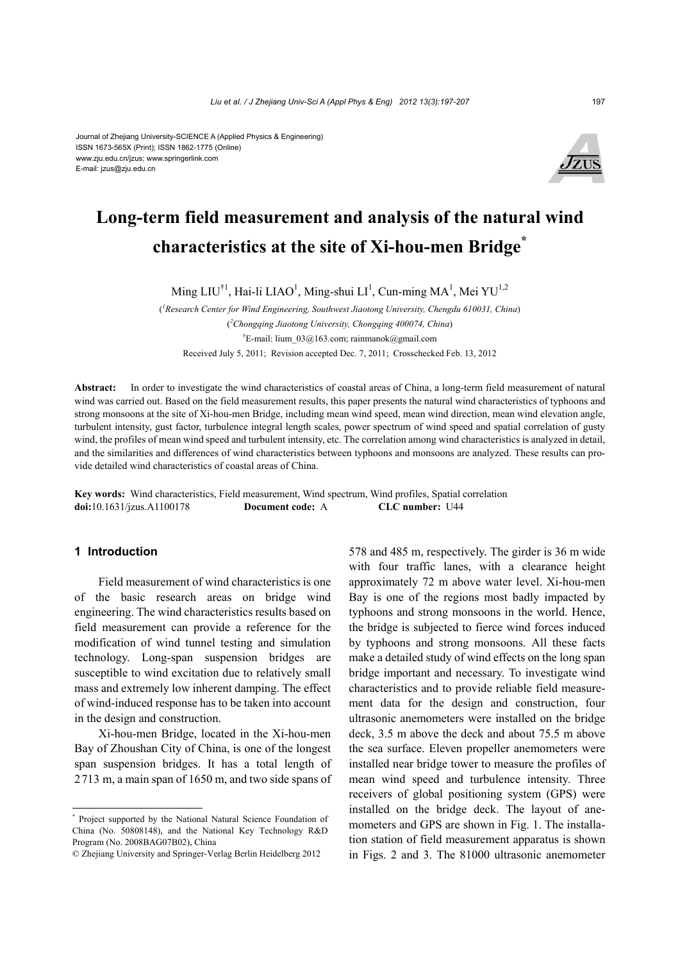#### Journal of Zhejiang University-SCIENCE A (Applied Physics & Engineering) ISSN 1673-565X (Print); ISSN 1862-1775 (Online) www.zju.edu.cn/jzus; www.springerlink.com E-mail: jzus@zju.edu.cn



# **Long-term field measurement and analysis of the natural wind characteristics at the site of Xi-hou-men Bridge\***

Ming LIU<sup>†1</sup>, Hai-li LIAO<sup>1</sup>, Ming-shui LI<sup>1</sup>, Cun-ming MA<sup>1</sup>, Mei YU<sup>1,2</sup>

( *1 Research Center for Wind Engineering, Southwest Jiaotong University, Chengdu 610031, China*) ( *2 Chongqing Jiaotong University, Chongqing 400074, China*) † E-mail: lium\_03@163.com; rainmanok@gmail.com Received July 5, 2011; Revision accepted Dec. 7, 2011; Crosschecked Feb. 13, 2012

**Abstract:** In order to investigate the wind characteristics of coastal areas of China, a long-term field measurement of natural wind was carried out. Based on the field measurement results, this paper presents the natural wind characteristics of typhoons and strong monsoons at the site of Xi-hou-men Bridge, including mean wind speed, mean wind direction, mean wind elevation angle, turbulent intensity, gust factor, turbulence integral length scales, power spectrum of wind speed and spatial correlation of gusty wind, the profiles of mean wind speed and turbulent intensity, etc. The correlation among wind characteristics is analyzed in detail, and the similarities and differences of wind characteristics between typhoons and monsoons are analyzed. These results can provide detailed wind characteristics of coastal areas of China.

**Key words:** Wind characteristics, Field measurement, Wind spectrum, Wind profiles, Spatial correlation **doi:**10.1631/jzus.A1100178 **Document code:** A **CLC number:** U44

## **1 Introduction**

Field measurement of wind characteristics is one of the basic research areas on bridge wind engineering. The wind characteristics results based on field measurement can provide a reference for the modification of wind tunnel testing and simulation technology. Long-span suspension bridges are susceptible to wind excitation due to relatively small mass and extremely low inherent damping. The effect of wind-induced response has to be taken into account in the design and construction.

Xi-hou-men Bridge, located in the Xi-hou-men Bay of Zhoushan City of China, is one of the longest span suspension bridges. It has a total length of 2713 m, a main span of 1650 m, and two side spans of 578 and 485 m, respectively. The girder is 36 m wide with four traffic lanes, with a clearance height approximately 72 m above water level. Xi-hou-men Bay is one of the regions most badly impacted by typhoons and strong monsoons in the world. Hence, the bridge is subjected to fierce wind forces induced by typhoons and strong monsoons. All these facts make a detailed study of wind effects on the long span bridge important and necessary. To investigate wind characteristics and to provide reliable field measurement data for the design and construction, four ultrasonic anemometers were installed on the bridge deck, 3.5 m above the deck and about 75.5 m above the sea surface. Eleven propeller anemometers were installed near bridge tower to measure the profiles of mean wind speed and turbulence intensity. Three receivers of global positioning system (GPS) were installed on the bridge deck. The layout of anemometers and GPS are shown in Fig. 1. The installation station of field measurement apparatus is shown in Figs. 2 and 3. The 81000 ultrasonic anemometer

<sup>\*</sup> Project supported by the National Natural Science Foundation of China (No. 50808148), and the National Key Technology R&D Program (No. 2008BAG07B02), China

<sup>©</sup> Zhejiang University and Springer-Verlag Berlin Heidelberg 2012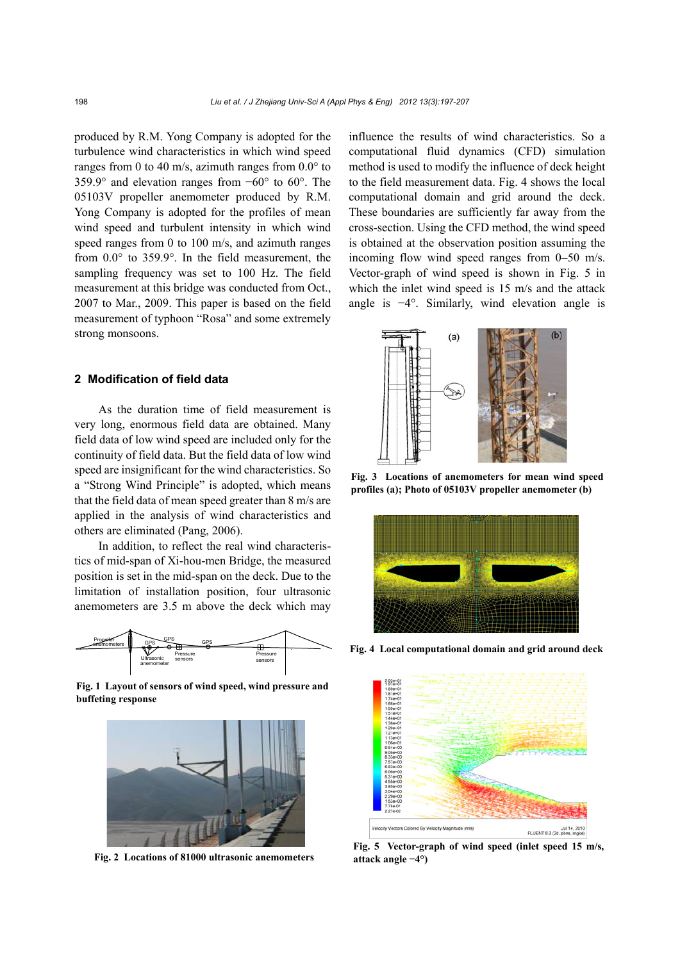produced by R.M. Yong Company is adopted for the turbulence wind characteristics in which wind speed ranges from 0 to 40 m/s, azimuth ranges from  $0.0^{\circ}$  to 359.9° and elevation ranges from −60° to 60°. The 05103V propeller anemometer produced by R.M. Yong Company is adopted for the profiles of mean wind speed and turbulent intensity in which wind speed ranges from 0 to 100 m/s, and azimuth ranges from 0.0° to 359.9°. In the field measurement, the sampling frequency was set to 100 Hz. The field measurement at this bridge was conducted from Oct., 2007 to Mar., 2009. This paper is based on the field measurement of typhoon "Rosa" and some extremely strong monsoons.

## **2 Modification of field data**

As the duration time of field measurement is very long, enormous field data are obtained. Many field data of low wind speed are included only for the continuity of field data. But the field data of low wind speed are insignificant for the wind characteristics. So a "Strong Wind Principle" is adopted, which means that the field data of mean speed greater than 8 m/s are applied in the analysis of wind characteristics and others are eliminated (Pang, 2006).

In addition, to reflect the real wind characteristics of mid-span of Xi-hou-men Bridge, the measured position is set in the mid-span on the deck. Due to the limitation of installation position, four ultrasonic anemometers are 3.5 m above the deck which may



**Fig. 1 Layout of sensors of wind speed, wind pressure and buffeting response**



**Fig. 2 Locations of 81000 ultrasonic anemometers attack angle −4°)**

influence the results of wind characteristics. So a computational fluid dynamics (CFD) simulation method is used to modify the influence of deck height to the field measurement data. Fig. 4 shows the local computational domain and grid around the deck. These boundaries are sufficiently far away from the cross-section. Using the CFD method, the wind speed is obtained at the observation position assuming the incoming flow wind speed ranges from 0–50 m/s. Vector-graph of wind speed is shown in Fig. 5 in which the inlet wind speed is 15 m/s and the attack angle is −4°. Similarly, wind elevation angle is



**Fig. 3 Locations of anemometers for mean wind speed profiles (a); Photo of 05103V propeller anemometer (b)**



**Fig. 4 Local computational domain and grid around deck**



**Fig. 5 Vector-graph of wind speed (inlet speed 15 m/s,**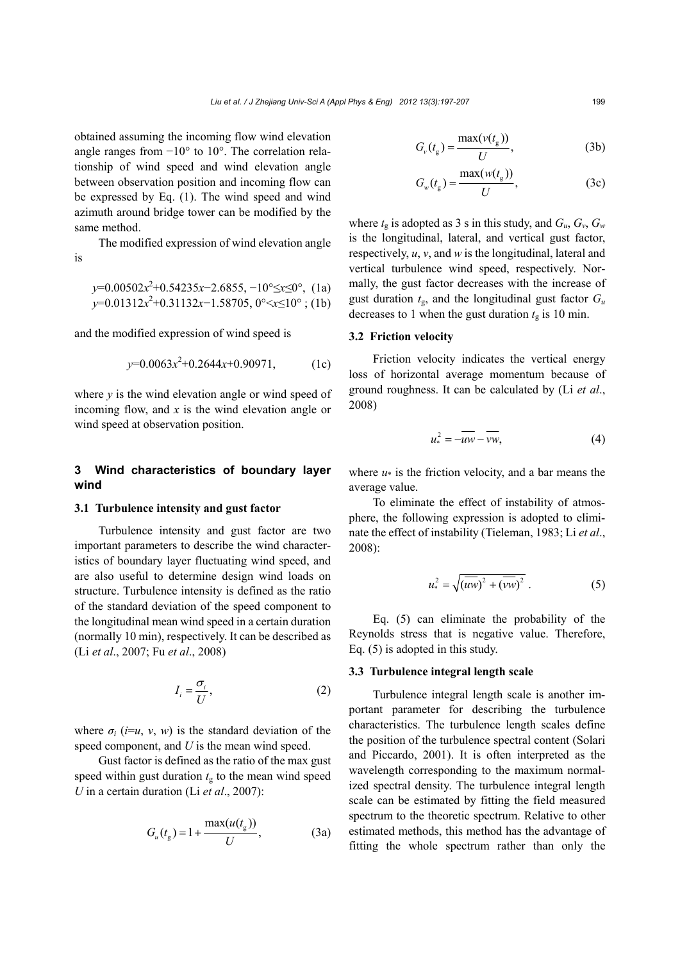obtained assuming the incoming flow wind elevation angle ranges from −10° to 10°. The correlation relationship of wind speed and wind elevation angle between observation position and incoming flow can be expressed by Eq. (1). The wind speed and wind azimuth around bridge tower can be modified by the same method.

The modified expression of wind elevation angle is

$$
y=0.00502x^2+0.54235x-2.6855, -10^{\circ} \le x \le 0^{\circ}, (1a)
$$
  

$$
y=0.01312x^2+0.31132x-1.58705, 0^{\circ} \le x \le 10^{\circ}; (1b)
$$

and the modified expression of wind speed is

$$
y=0.0063x^2+0.2644x+0.90971, \t(1c)
$$

where  $\nu$  is the wind elevation angle or wind speed of incoming flow, and *x* is the wind elevation angle or wind speed at observation position.

## **3 Wind characteristics of boundary layer wind**

## **3.1 Turbulence intensity and gust factor**

Turbulence intensity and gust factor are two important parameters to describe the wind characteristics of boundary layer fluctuating wind speed, and are also useful to determine design wind loads on structure. Turbulence intensity is defined as the ratio of the standard deviation of the speed component to the longitudinal mean wind speed in a certain duration (normally 10 min), respectively. It can be described as (Li *et al*., 2007; Fu *et al*., 2008)

$$
I_i = \frac{\sigma_i}{U},\tag{2}
$$

where  $\sigma_i$  (*i*=*u*, *v*, *w*) is the standard deviation of the speed component, and *U* is the mean wind speed.

Gust factor is defined as the ratio of the max gust speed within gust duration  $t<sub>g</sub>$  to the mean wind speed *U* in a certain duration (Li *et al*., 2007):

$$
G_u(t_g) = 1 + \frac{\max(u(t_g))}{U},
$$
 (3a)

$$
G_{\nu}(t_{g}) = \frac{\max(\nu(t_{g}))}{U}, \qquad (3b)
$$

$$
G_w(t_g) = \frac{\max(w(t_g))}{U},\tag{3c}
$$

where  $t_g$  is adopted as 3 s in this study, and  $G_u$ ,  $G_v$ ,  $G_w$ is the longitudinal, lateral, and vertical gust factor, respectively, *u*, *v*, and *w* is the longitudinal, lateral and vertical turbulence wind speed, respectively. Normally, the gust factor decreases with the increase of gust duration  $t_{\rm g}$ , and the longitudinal gust factor  $G_u$ decreases to 1 when the gust duration  $t_{\rm g}$  is 10 min.

#### **3.2 Friction velocity**

Friction velocity indicates the vertical energy loss of horizontal average momentum because of ground roughness. It can be calculated by (Li *et al*., 2008)

$$
u^2_* = -\overline{uw} - \overline{vw},\tag{4}
$$

where  $u^*$  is the friction velocity, and a bar means the average value.

To eliminate the effect of instability of atmosphere, the following expression is adopted to eliminate the effect of instability (Tieleman, 1983; Li *et al*., 2008):

$$
u_*^2 = \sqrt{\overline{(uw)^2 + (vw)^2}} \ . \tag{5}
$$

Eq. (5) can eliminate the probability of the Reynolds stress that is negative value. Therefore, Eq. (5) is adopted in this study.

#### **3.3 Turbulence integral length scale**

Turbulence integral length scale is another important parameter for describing the turbulence characteristics. The turbulence length scales define the position of the turbulence spectral content (Solari and Piccardo, 2001). It is often interpreted as the wavelength corresponding to the maximum normalized spectral density. The turbulence integral length scale can be estimated by fitting the field measured spectrum to the theoretic spectrum. Relative to other estimated methods, this method has the advantage of fitting the whole spectrum rather than only the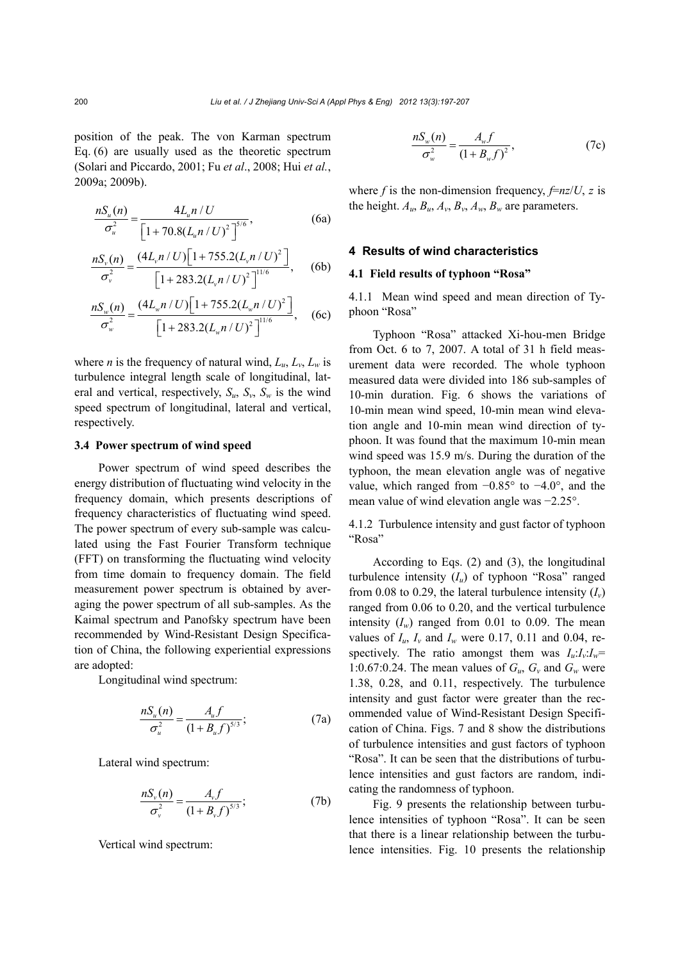position of the peak. The von Karman spectrum Eq. (6) are usually used as the theoretic spectrum (Solari and Piccardo, 2001; Fu *et al*., 2008; Hui *et al.*, 2009a; 2009b).

$$
\frac{nS_u(n)}{\sigma_u^2} = \frac{4L_u n / U}{\left[1 + 70.8(L_u n / U)^2\right]^{5/6}},\tag{6a}
$$

$$
\frac{nS_{\nu}(n)}{\sigma_{\nu}^{2}} = \frac{(4L_{\nu}n/U)\left[1+755.2(L_{\nu}n/U)^{2}\right]}{\left[1+283.2(L_{\nu}n/U)^{2}\right]^{1/6}},
$$
 (6b)

$$
\frac{nS_w(n)}{\sigma_w^2} = \frac{(4L_w n / U)\left[1 + 755.2(L_w n / U)^2\right]}{\left[1 + 283.2(L_w n / U)^2\right]^{11/6}},
$$
 (6c)

where *n* is the frequency of natural wind,  $L_u$ ,  $L_v$ ,  $L_w$  is turbulence integral length scale of longitudinal, lateral and vertical, respectively,  $S_u$ ,  $S_v$ ,  $S_w$  is the wind speed spectrum of longitudinal, lateral and vertical, respectively.

## **3.4 Power spectrum of wind speed**

Power spectrum of wind speed describes the energy distribution of fluctuating wind velocity in the frequency domain, which presents descriptions of frequency characteristics of fluctuating wind speed. The power spectrum of every sub-sample was calculated using the Fast Fourier Transform technique (FFT) on transforming the fluctuating wind velocity from time domain to frequency domain. The field measurement power spectrum is obtained by averaging the power spectrum of all sub-samples. As the Kaimal spectrum and Panofsky spectrum have been recommended by Wind-Resistant Design Specification of China, the following experiential expressions are adopted:

Longitudinal wind spectrum:

$$
\frac{nS_u(n)}{\sigma_u^2} = \frac{A_u f}{(1 + B_u f)^{5/3}}; \tag{7a}
$$

Lateral wind spectrum:

$$
\frac{nS_{\nu}(n)}{\sigma_{\nu}^2} = \frac{A_{\nu}f}{(1+B_{\nu}f)^{5/3}};
$$
\n(7b)

Vertical wind spectrum:

$$
\frac{nS_w(n)}{\sigma_w^2} = \frac{A_w f}{(1 + B_w f)^2},
$$
\n(7c)

where *f* is the non-dimension frequency,  $\frac{f}{f}$  *r* $\frac{z}{g}$  is the height.  $A_u$ ,  $B_u$ ,  $A_v$ ,  $B_v$ ,  $A_w$ ,  $B_w$  are parameters.

## **4 Results of wind characteristics**

#### **4.1 Field results of typhoon "Rosa"**

4.1.1 Mean wind speed and mean direction of Typhoon "Rosa"

Typhoon "Rosa" attacked Xi-hou-men Bridge from Oct. 6 to 7, 2007. A total of 31 h field measurement data were recorded. The whole typhoon measured data were divided into 186 sub-samples of 10-min duration. Fig. 6 shows the variations of 10-min mean wind speed, 10-min mean wind elevation angle and 10-min mean wind direction of typhoon. It was found that the maximum 10-min mean wind speed was 15.9 m/s. During the duration of the typhoon, the mean elevation angle was of negative value, which ranged from −0.85° to −4.0°, and the mean value of wind elevation angle was −2.25°.

4.1.2 Turbulence intensity and gust factor of typhoon "Rosa"

According to Eqs. (2) and (3), the longitudinal turbulence intensity  $(I_u)$  of typhoon "Rosa" ranged from 0.08 to 0.29, the lateral turbulence intensity  $(I_v)$ ranged from 0.06 to 0.20, and the vertical turbulence intensity  $(I_w)$  ranged from 0.01 to 0.09. The mean values of  $I_u$ ,  $I_v$  and  $I_w$  were 0.17, 0.11 and 0.04, respectively. The ratio amongst them was  $I_u: I_v: I_w =$ 1:0.67:0.24. The mean values of  $G_u$ ,  $G_v$  and  $G_w$  were 1.38, 0.28, and 0.11, respectively. The turbulence intensity and gust factor were greater than the recommended value of Wind-Resistant Design Specification of China. Figs. 7 and 8 show the distributions of turbulence intensities and gust factors of typhoon "Rosa". It can be seen that the distributions of turbulence intensities and gust factors are random, indicating the randomness of typhoon.

Fig. 9 presents the relationship between turbulence intensities of typhoon "Rosa". It can be seen that there is a linear relationship between the turbulence intensities. Fig. 10 presents the relationship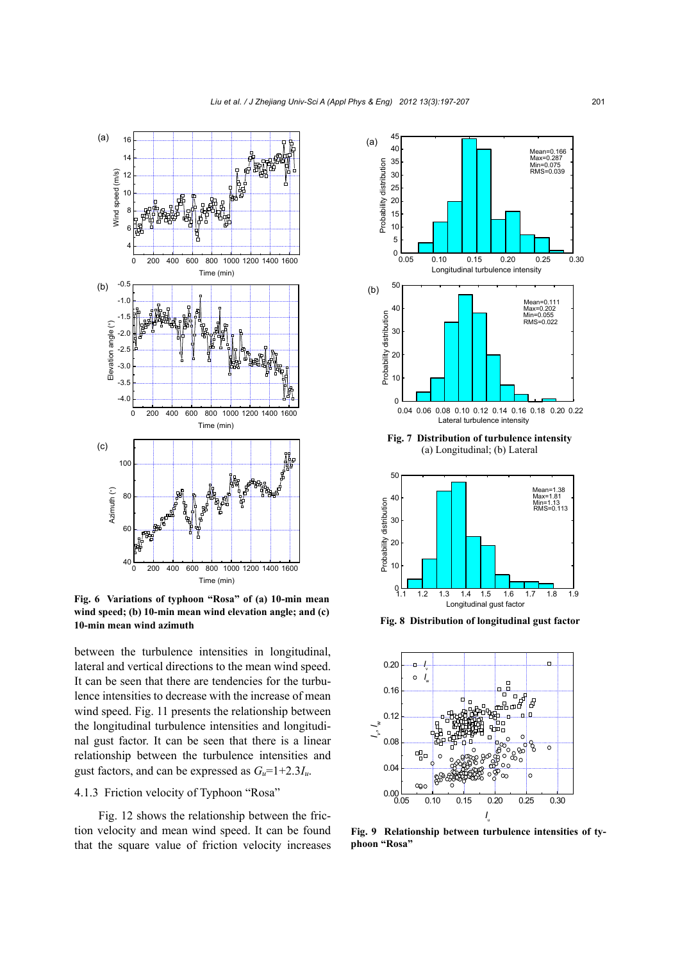

**Fig. 6 Variations of typhoon "Rosa" of (a) 10-min mean wind speed; (b) 10-min mean wind elevation angle; and (c) 10-min mean wind azimuth**

between the turbulence intensities in longitudinal, lateral and vertical directions to the mean wind speed. It can be seen that there are tendencies for the turbulence intensities to decrease with the increase of mean wind speed. Fig. 11 presents the relationship between the longitudinal turbulence intensities and longitudinal gust factor. It can be seen that there is a linear relationship between the turbulence intensities and gust factors, and can be expressed as  $G_u=1+2.3I_u$ .

# 4.1.3 Friction velocity of Typhoon "Rosa"

Fig. 12 shows the relationship between the friction velocity and mean wind speed. It can be found that the square value of friction velocity increases





**Fig. 8 Distribution of longitudinal gust factor**



**Fig. 9 Relationship between turbulence intensities of typhoon "Rosa"**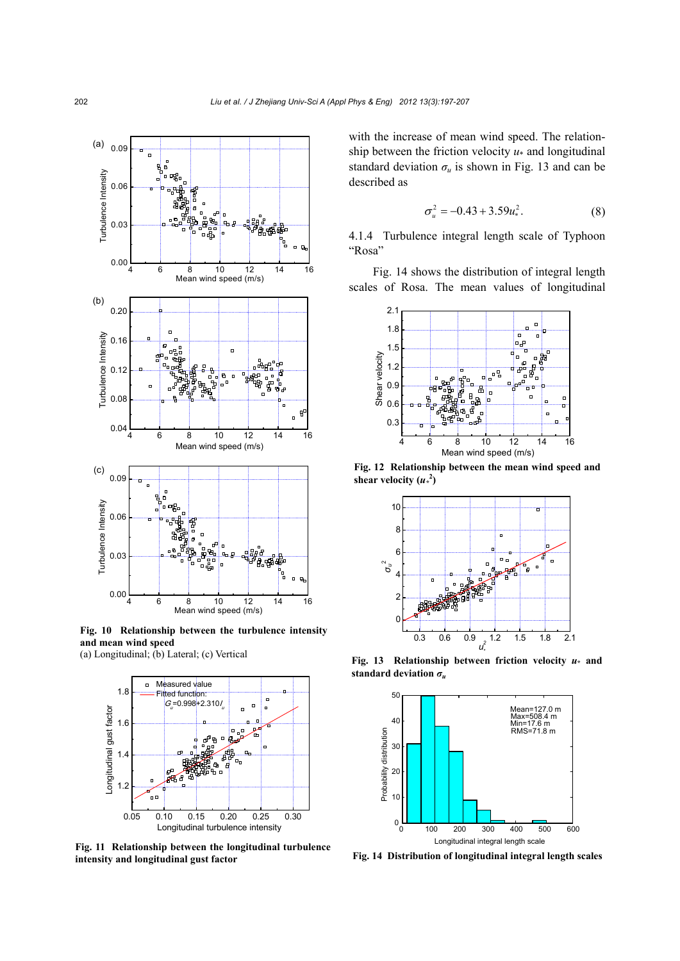

**Fig. 10 Relationship between the turbulence intensity and mean wind speed**  (a) Longitudinal; (b) Lateral; (c) Vertical



**Fig. 11 Relationship between the longitudinal turbulence intensity and longitudinal gust factor**

with the increase of mean wind speed. The relationship between the friction velocity *u*\* and longitudinal standard deviation  $\sigma_u$  is shown in Fig. 13 and can be described as

$$
\sigma_u^2 = -0.43 + 3.59u_*^2. \tag{8}
$$

4.1.4 Turbulence integral length scale of Typhoon "Rosa"

Fig. 14 shows the distribution of integral length scales of Rosa. The mean values of longitudinal



**Fig. 12 Relationship between the mean wind speed and**  shear velocity  $(u^2)$ 



**Fig. 13 Relationship between friction velocity** *u***\* and standard deviation** *σ<sup>u</sup>*



**Fig. 14 Distribution of longitudinal integral length scales**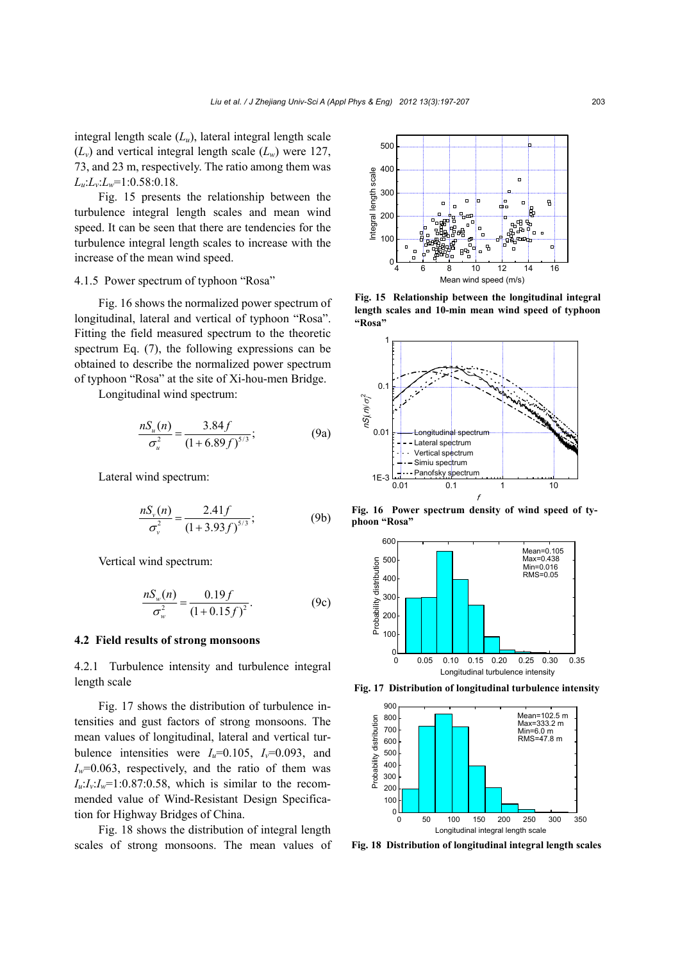integral length scale (*Lu*), lateral integral length scale  $(L_v)$  and vertical integral length scale  $(L_w)$  were 127, 73, and 23 m, respectively. The ratio among them was *Lu*:*Lv*:*Lw*=1:0.58:0.18.

Fig. 15 presents the relationship between the turbulence integral length scales and mean wind speed. It can be seen that there are tendencies for the turbulence integral length scales to increase with the increase of the mean wind speed.

### 4.1.5 Power spectrum of typhoon "Rosa"

Fig. 16 shows the normalized power spectrum of longitudinal, lateral and vertical of typhoon "Rosa". Fitting the field measured spectrum to the theoretic spectrum Eq. (7), the following expressions can be obtained to describe the normalized power spectrum of typhoon "Rosa" at the site of Xi-hou-men Bridge.

Longitudinal wind spectrum:

$$
\frac{nS_u(n)}{\sigma_u^2} = \frac{3.84f}{(1+6.89f)^{5/3}};
$$
\n(9a)

Lateral wind spectrum:

$$
\frac{nS_{\nu}(n)}{\sigma_{\nu}^2} = \frac{2.41f}{(1+3.93f)^{5/3}};
$$
 (9b)

Vertical wind spectrum:

$$
\frac{nS_w(n)}{\sigma_w^2} = \frac{0.19f}{(1+0.15f)^2}.
$$
 (9c)

#### **4.2 Field results of strong monsoons**

4.2.1 Turbulence intensity and turbulence integral length scale

Fig. 17 shows the distribution of turbulence intensities and gust factors of strong monsoons. The mean values of longitudinal, lateral and vertical turbulence intensities were  $I_u=0.105$ ,  $I_v=0.093$ , and  $I_w$ =0.063, respectively, and the ratio of them was  $I_{\nu}$ : $I_{\nu}$ =1:0.87:0.58, which is similar to the recommended value of Wind-Resistant Design Specification for Highway Bridges of China.

Fig. 18 shows the distribution of integral length scales of strong monsoons. The mean values of



**Fig. 15 Relationship between the longitudinal integral length scales and 10-min mean wind speed of typhoon "Rosa"**



**Fig. 16 Power spectrum density of wind speed of typhoon "Rosa"**



**Fig. 17 Distribution of longitudinal turbulence intensity**



**Fig. 18 Distribution of longitudinal integral length scales**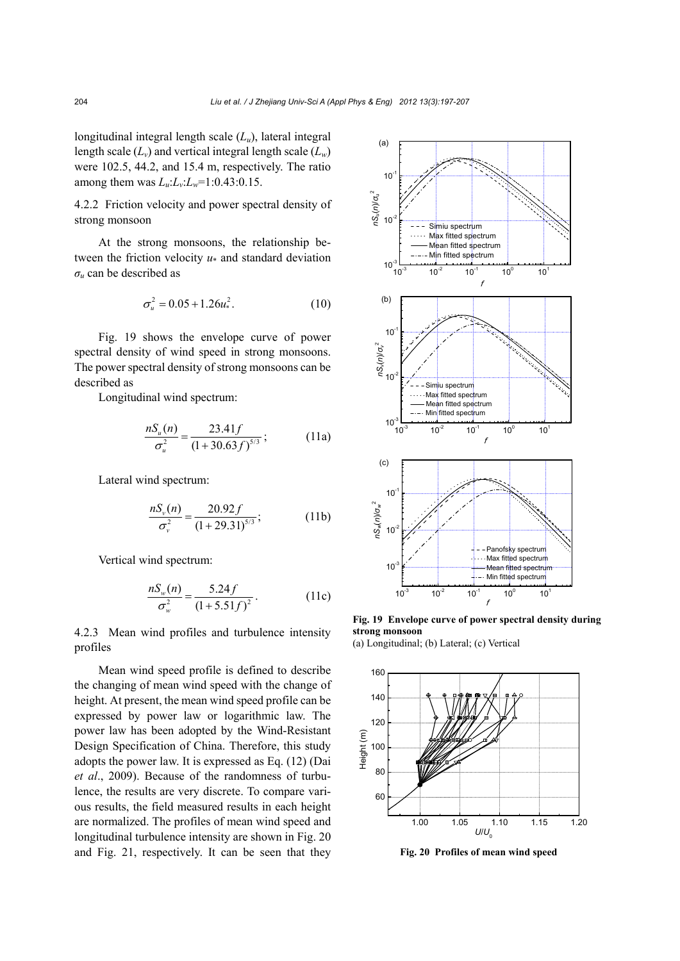longitudinal integral length scale (*Lu*), lateral integral length scale  $(L_v)$  and vertical integral length scale  $(L_w)$ were 102.5, 44.2, and 15.4 m, respectively. The ratio among them was  $L_{\nu}L_{\nu}L_{\nu}=1:0.43:0.15$ .

4.2.2 Friction velocity and power spectral density of strong monsoon

At the strong monsoons, the relationship between the friction velocity *u*\* and standard deviation  $\sigma$ <sup>*u*</sup> can be described as

$$
\sigma_u^2 = 0.05 + 1.26u_*^2. \tag{10}
$$

Fig. 19 shows the envelope curve of power spectral density of wind speed in strong monsoons. The power spectral density of strong monsoons can be described as

Longitudinal wind spectrum:

$$
\frac{nS_u(n)}{\sigma_u^2} = \frac{23.41f}{(1+30.63f)^{5/3}}; \tag{11a}
$$

Lateral wind spectrum:

$$
\frac{nS_{\nu}(n)}{\sigma_{\nu}^2} = \frac{20.92f}{(1+29.31)^{5/3}};
$$
 (11b)

Vertical wind spectrum:

$$
\frac{nS_w(n)}{\sigma_w^2} = \frac{5.24f}{(1+5.51f)^2}.
$$
 (11c)

4.2.3 Mean wind profiles and turbulence intensity profiles

Mean wind speed profile is defined to describe the changing of mean wind speed with the change of height. At present, the mean wind speed profile can be expressed by power law or logarithmic law. The power law has been adopted by the Wind-Resistant Design Specification of China. Therefore, this study adopts the power law. It is expressed as Eq. (12) (Dai *et al*., 2009). Because of the randomness of turbulence, the results are very discrete. To compare various results, the field measured results in each height are normalized. The profiles of mean wind speed and longitudinal turbulence intensity are shown in Fig. 20 and Fig. 21, respectively. It can be seen that they



**Fig. 19 Envelope curve of power spectral density during strong monsoon** 



**Fig. 20 Profiles of mean wind speed**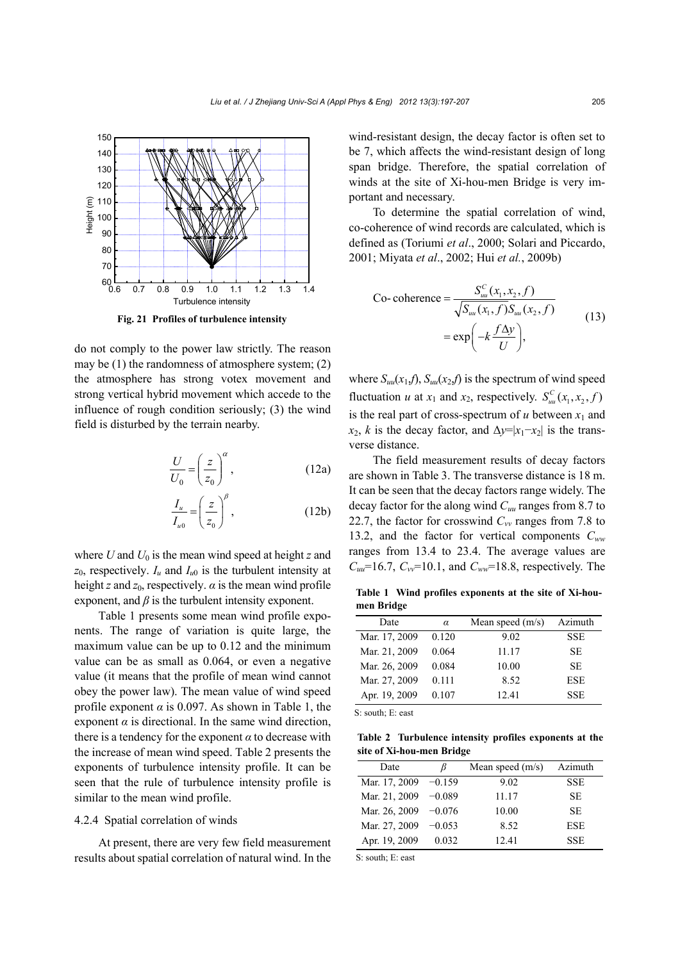

**Fig. 21 Profiles of turbulence intensity**

do not comply to the power law strictly. The reason may be (1) the randomness of atmosphere system; (2) the atmosphere has strong votex movement and strong vertical hybrid movement which accede to the influence of rough condition seriously; (3) the wind field is disturbed by the terrain nearby.

$$
\frac{U}{U_0} = \left(\frac{z}{z_0}\right)^{\alpha},\tag{12a}
$$

$$
\frac{I_u}{I_{u0}} = \left(\frac{z}{z_0}\right)^{\beta},\tag{12b}
$$

where *U* and  $U_0$  is the mean wind speed at height *z* and  $z_0$ , respectively.  $I_u$  and  $I_{u0}$  is the turbulent intensity at height *z* and  $z_0$ , respectively.  $\alpha$  is the mean wind profile exponent, and  $\beta$  is the turbulent intensity exponent.

Table 1 presents some mean wind profile exponents. The range of variation is quite large, the maximum value can be up to 0.12 and the minimum value can be as small as 0.064, or even a negative value (it means that the profile of mean wind cannot obey the power law). The mean value of wind speed profile exponent  $\alpha$  is 0.097. As shown in Table 1, the exponent  $\alpha$  is directional. In the same wind direction, there is a tendency for the exponent  $\alpha$  to decrease with the increase of mean wind speed. Table 2 presents the exponents of turbulence intensity profile. It can be seen that the rule of turbulence intensity profile is similar to the mean wind profile.

## 4.2.4 Spatial correlation of winds

At present, there are very few field measurement results about spatial correlation of natural wind. In the wind-resistant design, the decay factor is often set to be 7, which affects the wind-resistant design of long span bridge. Therefore, the spatial correlation of winds at the site of Xi-hou-men Bridge is very important and necessary.

To determine the spatial correlation of wind, co-coherence of wind records are calculated, which is defined as (Toriumi *et al*., 2000; Solari and Piccardo, 2001; Miyata *et al*., 2002; Hui *et al.*, 2009b)

$$
\begin{aligned} \text{Co-coherence} &= \frac{S_{uu}^C(x_1, x_2, f)}{\sqrt{S_{uu}(x_1, f)} S_{uu}(x_2, f)} \\ &= \exp\biggl(-k\frac{f\Delta y}{U}\biggr), \end{aligned} \tag{13}
$$

where  $S_{uu}(x_1,f)$ ,  $S_{uu}(x_2,f)$  is the spectrum of wind speed fluctuation *u* at  $x_1$  and  $x_2$ , respectively.  $S_{uu}^C(x_1, x_2, f)$ is the real part of cross-spectrum of  $u$  between  $x_1$  and  $x_2$ , *k* is the decay factor, and  $\Delta y = |x_1 - x_2|$  is the transverse distance.

The field measurement results of decay factors are shown in Table 3. The transverse distance is 18 m. It can be seen that the decay factors range widely. The decay factor for the along wind *Cuu* ranges from 8.7 to 22.7, the factor for crosswind  $C_w$  ranges from 7.8 to 13.2, and the factor for vertical components *Cww* ranges from 13.4 to 23.4. The average values are  $C_{uu}$ =16.7,  $C_{vv}$ =10.1, and  $C_{ww}$ =18.8, respectively. The

**Table 1 Wind profiles exponents at the site of Xi-houmen Bridge**

| Date          | $\alpha$ | Mean speed $(m/s)$ | Azimuth    |
|---------------|----------|--------------------|------------|
| Mar. 17, 2009 | 0.120    | 9.02               | <b>SSE</b> |
| Mar. 21, 2009 | 0.064    | 11.17              | <b>SE</b>  |
| Mar. 26, 2009 | 0.084    | 10.00              | <b>SE</b>  |
| Mar. 27, 2009 | 0.111    | 8.52               | <b>ESE</b> |
| Apr. 19, 2009 | 0.107    | 12.41              | <b>SSE</b> |

S: south; E: east

**Table 2 Turbulence intensity profiles exponents at the site of Xi-hou-men Bridge**

| Date          | ß        | Mean speed $(m/s)$ | Azimuth    |
|---------------|----------|--------------------|------------|
| Mar. 17, 2009 | $-0.159$ | 9.02               | <b>SSE</b> |
| Mar. 21, 2009 | $-0.089$ | 11.17              | SE.        |
| Mar. 26, 2009 | $-0.076$ | 10.00              | SE.        |
| Mar. 27, 2009 | $-0.053$ | 8.52               | <b>ESE</b> |
| Apr. 19, 2009 | 0.032    | 12.41              | <b>SSE</b> |

S: south; E: east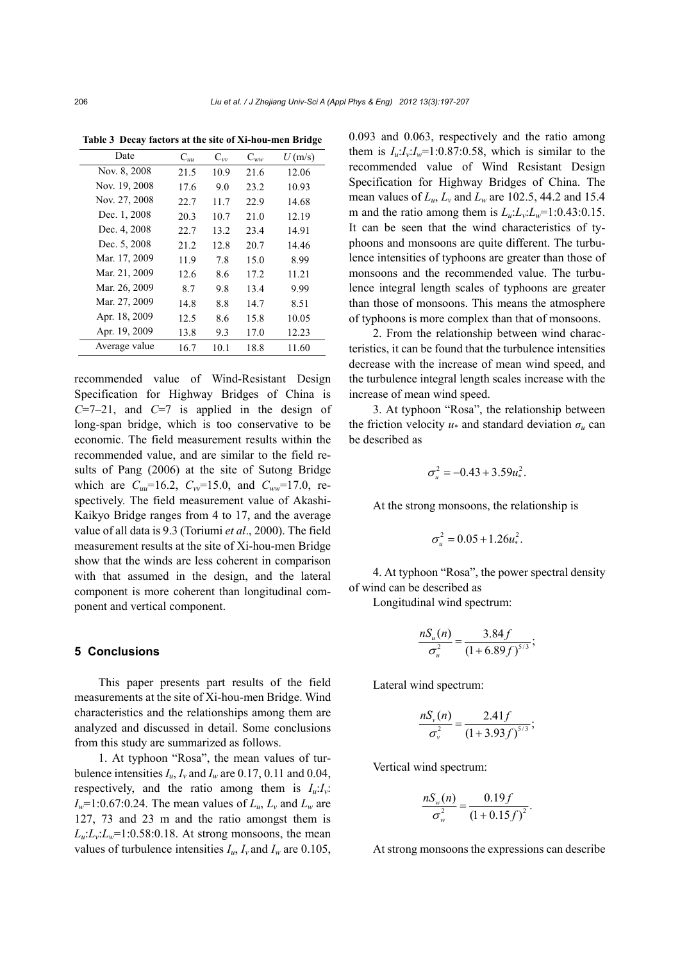| Date          | $\mathrm{C}_{uu}$ | $C_{vv}$ | $C_{ww}$ | U(m/s) |
|---------------|-------------------|----------|----------|--------|
| Nov. 8, 2008  | 21.5              | 10.9     | 21.6     | 12.06  |
| Nov. 19, 2008 | 17.6              | 9.0      | 23.2     | 10.93  |
| Nov. 27, 2008 | 22.7              | 11.7     | 22.9     | 14.68  |
| Dec. 1, 2008  | 20.3              | 10.7     | 21.0     | 12.19  |
| Dec. 4, 2008  | 22.7              | 13.2     | 23.4     | 14.91  |
| Dec. 5, 2008  | 21.2              | 12.8     | 20.7     | 14.46  |
| Mar. 17, 2009 | 11.9              | 7.8      | 15.0     | 8.99   |
| Mar. 21, 2009 | 12.6              | 8.6      | 17.2     | 11.21  |
| Mar. 26, 2009 | 8.7               | 9.8      | 13.4     | 9.99   |
| Mar. 27, 2009 | 14.8              | 8.8      | 14.7     | 8.51   |
| Apr. 18, 2009 | 12.5              | 8.6      | 15.8     | 10.05  |
| Apr. 19, 2009 | 13.8              | 9.3      | 17.0     | 12.23  |
| Average value | 16.7              | 10.1     | 18.8     | 11.60  |

**Table 3 Decay factors at the site of Xi-hou-men Bridge**

recommended value of Wind-Resistant Design Specification for Highway Bridges of China is  $C=7-21$ , and  $C=7$  is applied in the design of long-span bridge, which is too conservative to be economic. The field measurement results within the recommended value, and are similar to the field results of Pang (2006) at the site of Sutong Bridge which are  $C_{uu}$ =16.2,  $C_{vv}$ =15.0, and  $C_{ww}$ =17.0, respectively. The field measurement value of Akashi-Kaikyo Bridge ranges from 4 to 17, and the average value of all data is 9.3 (Toriumi *et al*., 2000). The field measurement results at the site of Xi-hou-men Bridge show that the winds are less coherent in comparison with that assumed in the design, and the lateral component is more coherent than longitudinal component and vertical component.

#### **5 Conclusions**

This paper presents part results of the field measurements at the site of Xi-hou-men Bridge. Wind characteristics and the relationships among them are analyzed and discussed in detail. Some conclusions from this study are summarized as follows.

1. At typhoon "Rosa", the mean values of turbulence intensities  $I_u$ ,  $I_v$  and  $I_w$  are 0.17, 0.11 and 0.04, respectively, and the ratio among them is  $I_u: I_v$ .  $I_w=1:0.67:0.24$ . The mean values of  $L_u$ ,  $L_v$  and  $L_w$  are 127, 73 and 23 m and the ratio amongst them is  $L_u: L_v: L_w=1:0.58:0.18$ . At strong monsoons, the mean values of turbulence intensities  $I_u$ ,  $I_v$  and  $I_w$  are 0.105, 0.093 and 0.063, respectively and the ratio among them is  $I_u: I_v: I_w = 1:0.87:0.58$ , which is similar to the recommended value of Wind Resistant Design Specification for Highway Bridges of China. The mean values of *Lu*, *Lv* and *Lw* are 102.5, 44.2 and 15.4 m and the ratio among them is  $L_u: L_v: L_w=1:0.43:0.15$ . It can be seen that the wind characteristics of typhoons and monsoons are quite different. The turbulence intensities of typhoons are greater than those of monsoons and the recommended value. The turbulence integral length scales of typhoons are greater than those of monsoons. This means the atmosphere of typhoons is more complex than that of monsoons.

2. From the relationship between wind characteristics, it can be found that the turbulence intensities decrease with the increase of mean wind speed, and the turbulence integral length scales increase with the increase of mean wind speed.

3. At typhoon "Rosa", the relationship between the friction velocity  $u^*$  and standard deviation  $\sigma_u$  can be described as

$$
\sigma_u^2 = -0.43 + 3.59 u_*^2.
$$

At the strong monsoons, the relationship is

$$
\sigma_u^2 = 0.05 + 1.26 u_*^2.
$$

4. At typhoon "Rosa", the power spectral density of wind can be described as

Longitudinal wind spectrum:

$$
\frac{nS_u(n)}{\sigma_u^2} = \frac{3.84f}{(1+6.89f)^{5/3}};
$$

Lateral wind spectrum:

$$
\frac{nS_{v}(n)}{\sigma_{v}^{2}} = \frac{2.41f}{(1+3.93f)^{5/3}};
$$

Vertical wind spectrum:

$$
\frac{nS_w(n)}{\sigma_w^2} = \frac{0.19f}{(1+0.15f)^2}.
$$

At strong monsoons the expressions can describe